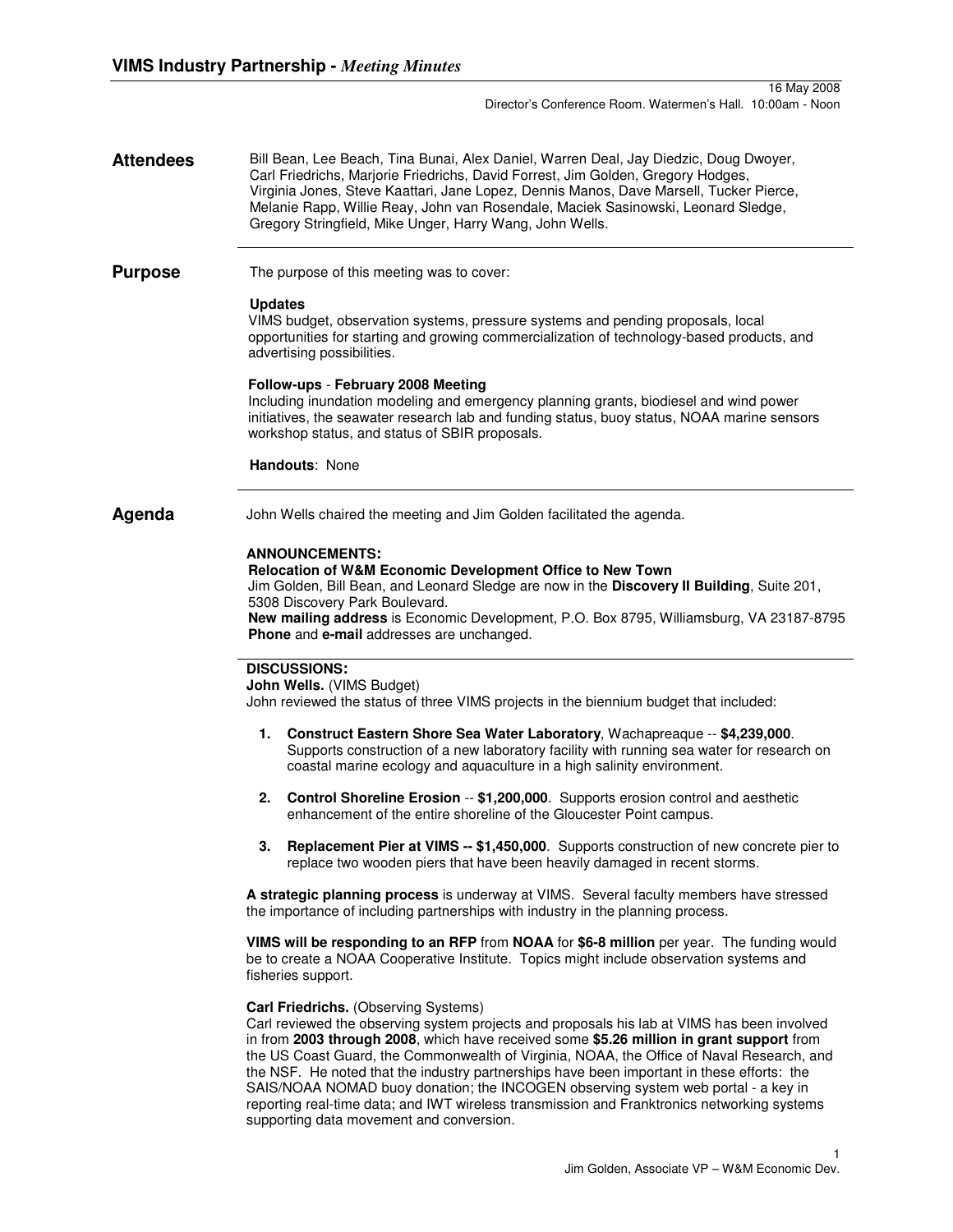**Attendees** Bill Bean, Lee Beach, Tina Bunai, Alex Daniel, Warren Deal, Jay Diedzic, Doug Dwoyer, Carl Friedrichs, Marjorie Friedrichs, David Forrest, Jim Golden, Gregory Hodges, Virginia Jones, Steve Kaattari, Jane Lopez, Dennis Manos, Dave Marsell, Tucker Pierce, Melanie Rapp, Willie Reay, John van Rosendale, Maciek Sasinowski, Leonard Sledge, Gregory Stringfield, Mike Unger, Harry Wang, John Wells.

**Purpose** The purpose of this meeting was to cover:

### **Updates**

VIMS budget, observation systems, pressure systems and pending proposals, local opportunities for starting and growing commercialization of technology-based products, and advertising possibilities.

# **Follow-ups** - **February 2008 Meeting**

Including inundation modeling and emergency planning grants, biodiesel and wind power initiatives, the seawater research lab and funding status, buoy status, NOAA marine sensors workshop status, and status of SBIR proposals.

**Handouts**: None

**Agenda** John Wells chaired the meeting and Jim Golden facilitated the agenda.

# **ANNOUNCEMENTS:**

#### **Relocation of W&M Economic Development Office to New Town**

Jim Golden, Bill Bean, and Leonard Sledge are now in the **Discovery II Building**, Suite 201, 5308 Discovery Park Boulevard. **New mailing address** is Economic Development, P.O. Box 8795, Williamsburg, VA 23187-8795 **Phone** and **e-mail** addresses are unchanged.

### **DISCUSSIONS:**

**John Wells.** (VIMS Budget)

John reviewed the status of three VIMS projects in the biennium budget that included:

- **1. Construct Eastern Shore Sea Water Laboratory**, Wachapreaque -- **\$4,239,000**. Supports construction of a new laboratory facility with running sea water for research on coastal marine ecology and aquaculture in a high salinity environment.
- **2. Control Shoreline Erosion** -- **\$1,200,000**. Supports erosion control and aesthetic enhancement of the entire shoreline of the Gloucester Point campus.
- **3. Replacement Pier at VIMS -- \$1,450,000**. Supports construction of new concrete pier to replace two wooden piers that have been heavily damaged in recent storms.

**A strategic planning process** is underway at VIMS. Several faculty members have stressed the importance of including partnerships with industry in the planning process.

**VIMS will be responding to an RFP** from **NOAA** for **\$6-8 million** per year. The funding would be to create a NOAA Cooperative Institute. Topics might include observation systems and fisheries support.

#### **Carl Friedrichs.** (Observing Systems)

Carl reviewed the observing system projects and proposals his lab at VIMS has been involved in from **2003 through 2008**, which have received some **\$5.26 million in grant support** from the US Coast Guard, the Commonwealth of Virginia, NOAA, the Office of Naval Research, and the NSF. He noted that the industry partnerships have been important in these efforts: the SAIS/NOAA NOMAD buoy donation; the INCOGEN observing system web portal - a key in reporting real-time data; and IWT wireless transmission and Franktronics networking systems supporting data movement and conversion.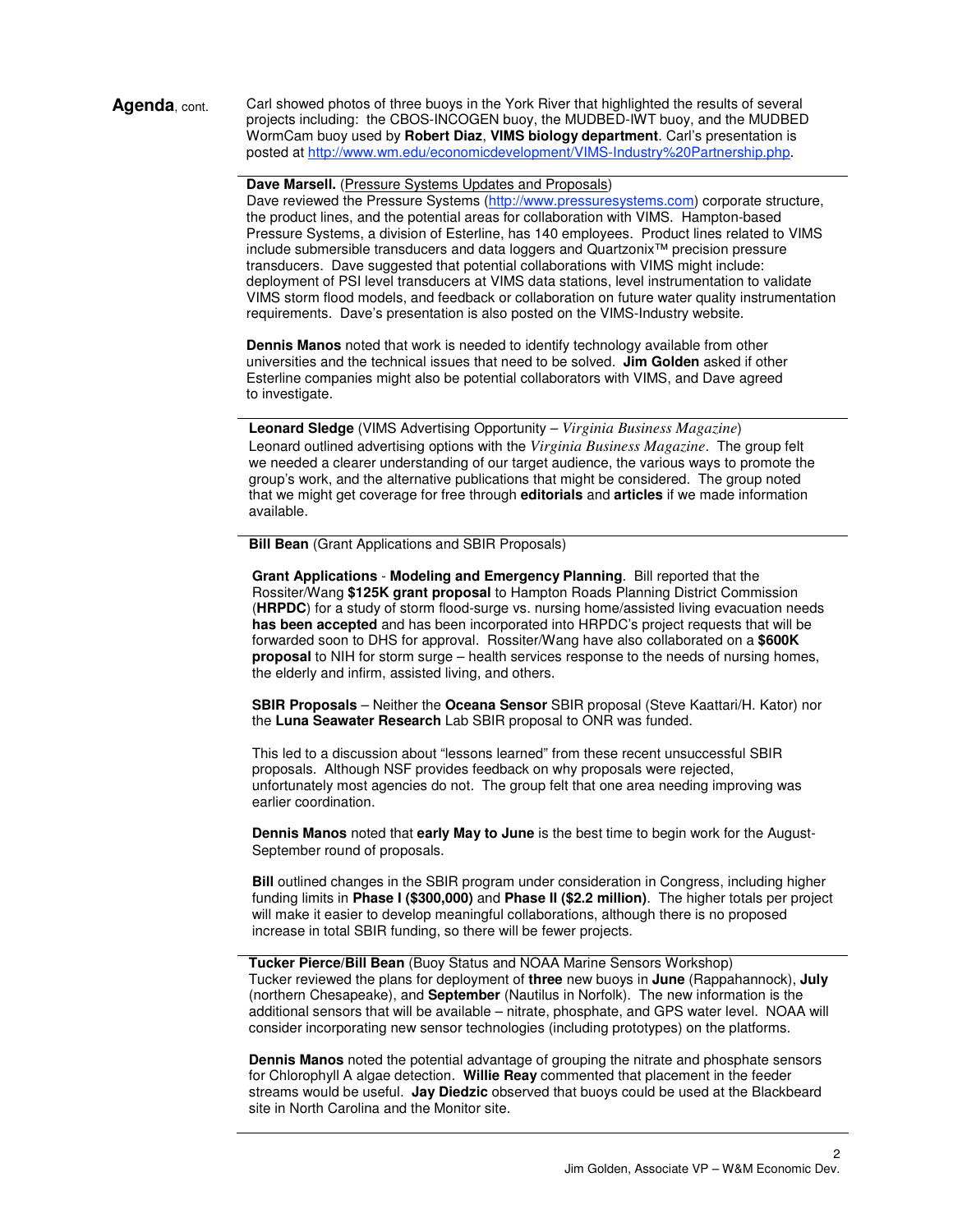Agenda, cont. Carl showed photos of three buoys in the York River that highlighted the results of several projects including: the CBOS-INCOGEN buoy, the MUDBED-IWT buoy, and the MUDBED WormCam buoy used by **Robert Diaz**, **VIMS biology department**. Carl's presentation is posted at http://www.wm.edu/economicdevelopment/VIMS-Industry%20Partnership.php.

**Dave Marsell.** (Pressure Systems Updates and Proposals)

Dave reviewed the Pressure Systems (http://www.pressuresystems.com) corporate structure, the product lines, and the potential areas for collaboration with VIMS. Hampton-based Pressure Systems, a division of Esterline, has 140 employees. Product lines related to VIMS include submersible transducers and data loggers and Quartzonix™ precision pressure transducers. Dave suggested that potential collaborations with VIMS might include: deployment of PSI level transducers at VIMS data stations, level instrumentation to validate VIMS storm flood models, and feedback or collaboration on future water quality instrumentation requirements. Dave's presentation is also posted on the VIMS-Industry website.

**Dennis Manos** noted that work is needed to identify technology available from other universities and the technical issues that need to be solved. **Jim Golden** asked if other Esterline companies might also be potential collaborators with VIMS, and Dave agreed to investigate.

**Leonard Sledge** (VIMS Advertising Opportunity – *Virginia Business Magazine*) Leonard outlined advertising options with the *Virginia Business Magazine*. The group felt we needed a clearer understanding of our target audience, the various ways to promote the group's work, and the alternative publications that might be considered. The group noted that we might get coverage for free through **editorials** and **articles** if we made information available.

**Bill Bean** (Grant Applications and SBIR Proposals)

**Grant Applications** - **Modeling and Emergency Planning**. Bill reported that the Rossiter/Wang **\$125K grant proposal** to Hampton Roads Planning District Commission (**HRPDC**) for a study of storm flood-surge vs. nursing home/assisted living evacuation needs **has been accepted** and has been incorporated into HRPDC's project requests that will be forwarded soon to DHS for approval. Rossiter/Wang have also collaborated on a **\$600K proposal** to NIH for storm surge – health services response to the needs of nursing homes, the elderly and infirm, assisted living, and others.

**SBIR Proposals** – Neither the **Oceana Sensor** SBIR proposal (Steve Kaattari/H. Kator) nor the **Luna Seawater Research** Lab SBIR proposal to ONR was funded.

This led to a discussion about "lessons learned" from these recent unsuccessful SBIR proposals. Although NSF provides feedback on why proposals were rejected, unfortunately most agencies do not. The group felt that one area needing improving was earlier coordination.

**Dennis Manos** noted that **early May to June** is the best time to begin work for the August-September round of proposals.

**Bill** outlined changes in the SBIR program under consideration in Congress, including higher funding limits in **Phase I (\$300,000)** and **Phase II (\$2.2 million)**. The higher totals per project will make it easier to develop meaningful collaborations, although there is no proposed increase in total SBIR funding, so there will be fewer projects.

**Tucker Pierce/Bill Bean** (Buoy Status and NOAA Marine Sensors Workshop) Tucker reviewed the plans for deployment of **three** new buoys in **June** (Rappahannock), **July** (northern Chesapeake), and **September** (Nautilus in Norfolk). The new information is the additional sensors that will be available – nitrate, phosphate, and GPS water level. NOAA will consider incorporating new sensor technologies (including prototypes) on the platforms.

**Dennis Manos** noted the potential advantage of grouping the nitrate and phosphate sensors for Chlorophyll A algae detection. **Willie Reay** commented that placement in the feeder streams would be useful. **Jay Diedzic** observed that buoys could be used at the Blackbeard site in North Carolina and the Monitor site.

 $\mathfrak{p}$